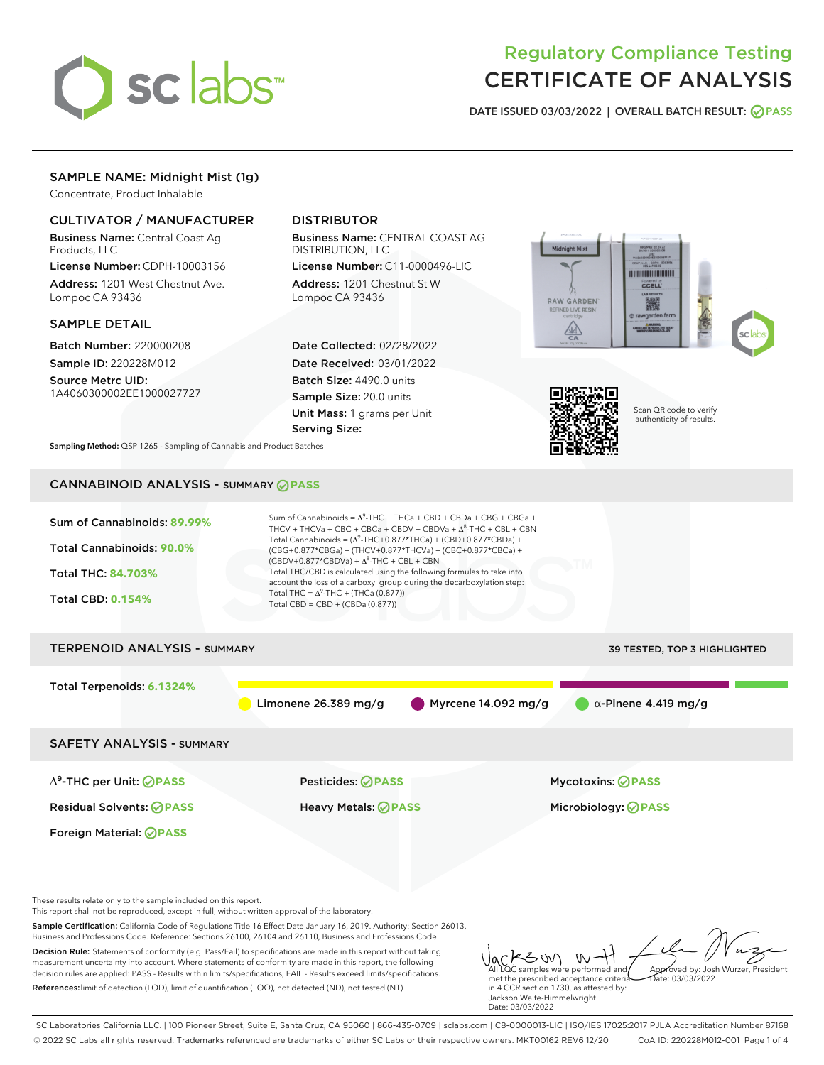

# Regulatory Compliance Testing CERTIFICATE OF ANALYSIS

DATE ISSUED 03/03/2022 | OVERALL BATCH RESULT: @ PASS

## SAMPLE NAME: Midnight Mist (1g)

Concentrate, Product Inhalable

#### CULTIVATOR / MANUFACTURER

Business Name: Central Coast Ag Products, LLC

License Number: CDPH-10003156 Address: 1201 West Chestnut Ave. Lompoc CA 93436

#### SAMPLE DETAIL

Batch Number: 220000208 Sample ID: 220228M012

Source Metrc UID: 1A4060300002EE1000027727

### DISTRIBUTOR

Business Name: CENTRAL COAST AG DISTRIBUTION, LLC

License Number: C11-0000496-LIC Address: 1201 Chestnut St W Lompoc CA 93436

Date Collected: 02/28/2022 Date Received: 03/01/2022 Batch Size: 4490.0 units Sample Size: 20.0 units Unit Mass: 1 grams per Unit Serving Size:





Scan QR code to verify authenticity of results.

Sampling Method: QSP 1265 - Sampling of Cannabis and Product Batches

## CANNABINOID ANALYSIS - SUMMARY **PASS**



Decision Rule: Statements of conformity (e.g. Pass/Fail) to specifications are made in this report without taking measurement uncertainty into account. Where statements of conformity are made in this report, the following decision rules are applied: PASS - Results within limits/specifications, FAIL - Results exceed limits/specifications. References:limit of detection (LOD), limit of quantification (LOQ), not detected (ND), not tested (NT)

KSON W-H All LQC samples were performed and Approved by: Josh Wurzer, President met the prescribed acceptance criteria Date: 03/03/2022 in 4 CCR section 1730, as attested by: Jackson Waite-Himmelwright Date: 03/03/2022

SC Laboratories California LLC. | 100 Pioneer Street, Suite E, Santa Cruz, CA 95060 | 866-435-0709 | sclabs.com | C8-0000013-LIC | ISO/IES 17025:2017 PJLA Accreditation Number 87168 © 2022 SC Labs all rights reserved. Trademarks referenced are trademarks of either SC Labs or their respective owners. MKT00162 REV6 12/20 CoA ID: 220228M012-001 Page 1 of 4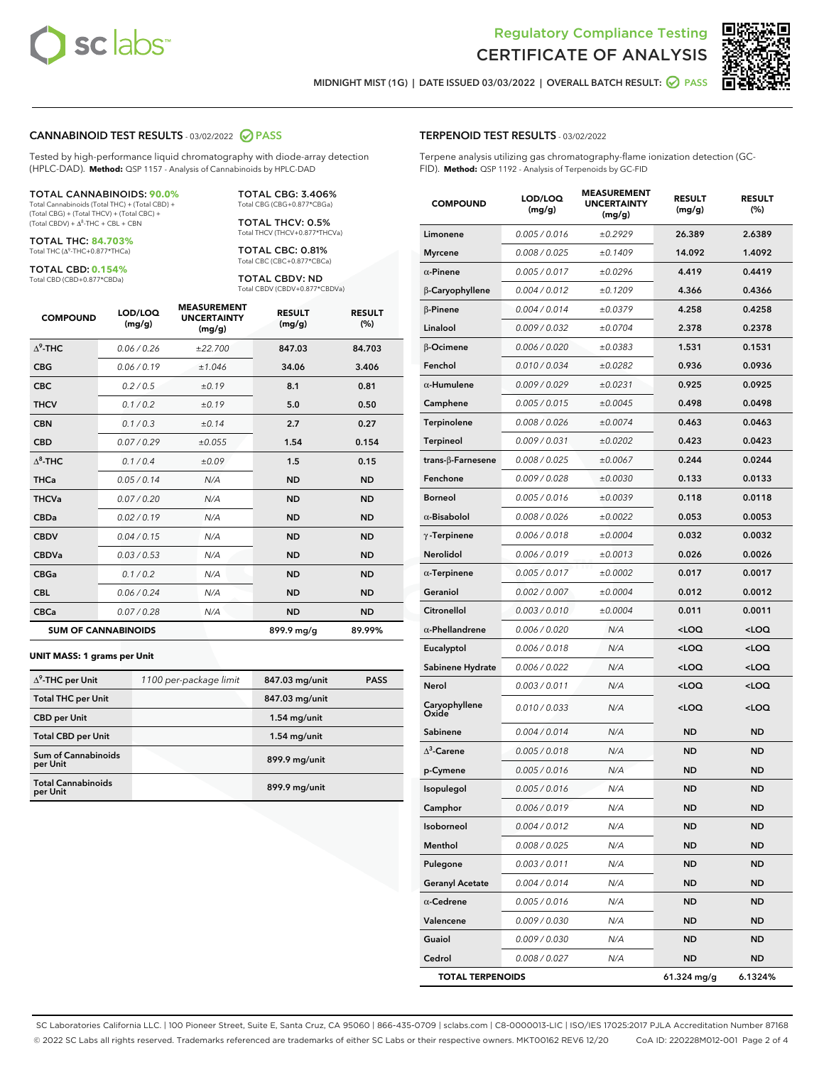



MIDNIGHT MIST (1G) | DATE ISSUED 03/03/2022 | OVERALL BATCH RESULT: **⊘** PASS

#### CANNABINOID TEST RESULTS - 03/02/2022 2 PASS

Tested by high-performance liquid chromatography with diode-array detection (HPLC-DAD). **Method:** QSP 1157 - Analysis of Cannabinoids by HPLC-DAD

#### TOTAL CANNABINOIDS: **90.0%**

Total Cannabinoids (Total THC) + (Total CBD) + (Total CBG) + (Total THCV) + (Total CBC) +  $(Total CBDV) +  $\Delta^8$ -THC + CBL + CBN$ 

TOTAL THC: **84.703%** Total THC (Δ<sup>9</sup>-THC+0.877\*THCa)

TOTAL CBD: **0.154%**

Total CBD (CBD+0.877\*CBDa)

TOTAL CBG: 3.406% Total CBG (CBG+0.877\*CBGa)

TOTAL THCV: 0.5% Total THCV (THCV+0.877\*THCVa)

TOTAL CBC: 0.81% Total CBC (CBC+0.877\*CBCa)

TOTAL CBDV: ND Total CBDV (CBDV+0.877\*CBDVa)

| <b>COMPOUND</b>  | LOD/LOQ<br>(mg/g)          | <b>MEASUREMENT</b><br><b>UNCERTAINTY</b><br>(mg/g) | <b>RESULT</b><br>(mg/g) | <b>RESULT</b><br>(%) |
|------------------|----------------------------|----------------------------------------------------|-------------------------|----------------------|
| $\Lambda^9$ -THC | 0.06 / 0.26                | ±22.700                                            | 847.03                  | 84.703               |
| <b>CBG</b>       | 0.06 / 0.19                | ±1.046                                             | 34.06                   | 3.406                |
| <b>CBC</b>       | 0.2 / 0.5                  | ±0.19                                              | 8.1                     | 0.81                 |
| <b>THCV</b>      | 0.1/0.2                    | ±0.19                                              | 5.0                     | 0.50                 |
| <b>CBN</b>       | 0.1/0.3                    | ±0.14                                              | 2.7                     | 0.27                 |
| <b>CBD</b>       | 0.07/0.29                  | ±0.055                                             | 1.54                    | 0.154                |
| $\Delta^8$ -THC  | 0.1/0.4                    | ±0.09                                              | 1.5                     | 0.15                 |
| <b>THCa</b>      | 0.05/0.14                  | N/A                                                | <b>ND</b>               | <b>ND</b>            |
| <b>THCVa</b>     | 0.07/0.20                  | N/A                                                | <b>ND</b>               | <b>ND</b>            |
| <b>CBDa</b>      | 0.02 / 0.19                | N/A                                                | <b>ND</b>               | <b>ND</b>            |
| <b>CBDV</b>      | 0.04 / 0.15                | N/A                                                | <b>ND</b>               | <b>ND</b>            |
| <b>CBDVa</b>     | 0.03/0.53                  | N/A                                                | <b>ND</b>               | <b>ND</b>            |
| <b>CBGa</b>      | 0.1/0.2                    | N/A                                                | <b>ND</b>               | <b>ND</b>            |
| <b>CBL</b>       | 0.06 / 0.24                | N/A                                                | <b>ND</b>               | <b>ND</b>            |
| <b>CBCa</b>      | 0.07/0.28                  | N/A                                                | <b>ND</b>               | <b>ND</b>            |
|                  | <b>SUM OF CANNABINOIDS</b> |                                                    | 899.9 mg/g              | 89.99%               |

#### **UNIT MASS: 1 grams per Unit**

| $\Delta^9$ -THC per Unit               | 1100 per-package limit | 847.03 mg/unit | <b>PASS</b> |
|----------------------------------------|------------------------|----------------|-------------|
| <b>Total THC per Unit</b>              |                        | 847.03 mg/unit |             |
| <b>CBD per Unit</b>                    |                        | $1.54$ mg/unit |             |
| <b>Total CBD per Unit</b>              |                        | $1.54$ mg/unit |             |
| <b>Sum of Cannabinoids</b><br>per Unit |                        | 899.9 mg/unit  |             |
| <b>Total Cannabinoids</b><br>per Unit  |                        | 899.9 mg/unit  |             |

| <b>COMPOUND</b>         | LOD/LOQ<br>(mg/g) | <b>MEASUREMENT</b><br><b>UNCERTAINTY</b><br>(mg/g) | <b>RESULT</b><br>(mg/g)                          | <b>RESULT</b><br>(%) |
|-------------------------|-------------------|----------------------------------------------------|--------------------------------------------------|----------------------|
| Limonene                | 0.005 / 0.016     | ±0.2929                                            | 26.389                                           | 2.6389               |
| <b>Myrcene</b>          | 0.008 / 0.025     | ±0.1409                                            | 14.092                                           | 1.4092               |
| $\alpha$ -Pinene        | 0.005 / 0.017     | ±0.0296                                            | 4.419                                            | 0.4419               |
| β-Caryophyllene         | 0.004 / 0.012     | ±0.1209                                            | 4.366                                            | 0.4366               |
| $\beta$ -Pinene         | 0.004 / 0.014     | ±0.0379                                            | 4.258                                            | 0.4258               |
| Linalool                | 0.009 / 0.032     | ±0.0704                                            | 2.378                                            | 0.2378               |
| β-Ocimene               | 0.006 / 0.020     | ±0.0383                                            | 1.531                                            | 0.1531               |
| Fenchol                 | 0.010 / 0.034     | ±0.0282                                            | 0.936                                            | 0.0936               |
| $\alpha$ -Humulene      | 0.009/0.029       | ±0.0231                                            | 0.925                                            | 0.0925               |
| Camphene                | 0.005 / 0.015     | ±0.0045                                            | 0.498                                            | 0.0498               |
| Terpinolene             | 0.008 / 0.026     | ±0.0074                                            | 0.463                                            | 0.0463               |
| Terpineol               | 0.009 / 0.031     | ±0.0202                                            | 0.423                                            | 0.0423               |
| trans-β-Farnesene       | 0.008 / 0.025     | ±0.0067                                            | 0.244                                            | 0.0244               |
| Fenchone                | 0.009 / 0.028     | ±0.0030                                            | 0.133                                            | 0.0133               |
| <b>Borneol</b>          | 0.005 / 0.016     | ±0.0039                                            | 0.118                                            | 0.0118               |
| $\alpha$ -Bisabolol     | 0.008 / 0.026     | ±0.0022                                            | 0.053                                            | 0.0053               |
| $\gamma$ -Terpinene     | 0.006 / 0.018     | ±0.0004                                            | 0.032                                            | 0.0032               |
| Nerolidol               | 0.006 / 0.019     | ±0.0013                                            | 0.026                                            | 0.0026               |
| $\alpha$ -Terpinene     | 0.005 / 0.017     | ±0.0002                                            | 0.017                                            | 0.0017               |
| Geraniol                | 0.002 / 0.007     | ±0.0004                                            | 0.012                                            | 0.0012               |
| Citronellol             | 0.003 / 0.010     | ±0.0004                                            | 0.011                                            | 0.0011               |
| $\alpha$ -Phellandrene  | 0.006 / 0.020     | N/A                                                | <loq< th=""><th><math>&lt;</math>LOQ</th></loq<> | $<$ LOQ              |
| Eucalyptol              | 0.006 / 0.018     | N/A                                                | <loq< th=""><th><loq< th=""></loq<></th></loq<>  | <loq< th=""></loq<>  |
| Sabinene Hydrate        | 0.006 / 0.022     | N/A                                                | <loq< th=""><th><loq< th=""></loq<></th></loq<>  | <loq< th=""></loq<>  |
| Nerol                   | 0.003 / 0.011     | N/A                                                | <loq< th=""><th><loq< th=""></loq<></th></loq<>  | <loq< th=""></loq<>  |
| Caryophyllene<br>Oxide  | 0.010 / 0.033     | N/A                                                | <loq< th=""><th><loq< th=""></loq<></th></loq<>  | <loq< th=""></loq<>  |
| Sabinene                | 0.004/0.014       | N/A                                                | <b>ND</b>                                        | ND                   |
| $\Delta^3$ -Carene      | 0.005 / 0.018     | N/A                                                | <b>ND</b>                                        | <b>ND</b>            |
| p-Cymene                | 0.005 / 0.016     | N/A                                                | ND                                               | ND                   |
| Isopulegol              | 0.005/0.016       | N/A                                                | <b>ND</b>                                        | ND                   |
| Camphor                 | 0.006 / 0.019     | N/A                                                | ND                                               | ND                   |
| Isoborneol              | 0.004 / 0.012     | N/A                                                | ND                                               | ND                   |
| Menthol                 | 0.008 / 0.025     | N/A                                                | ND                                               | ND                   |
| Pulegone                | 0.003 / 0.011     | N/A                                                | ND                                               | ND                   |
| <b>Geranyl Acetate</b>  | 0.004 / 0.014     | N/A                                                | ND                                               | ND                   |
| $\alpha$ -Cedrene       | 0.005 / 0.016     | N/A                                                | ND                                               | ND                   |
| Valencene               | 0.009 / 0.030     | N/A                                                | ND                                               | ND                   |
| Guaiol                  | 0.009 / 0.030     | N/A                                                | ND                                               | ND                   |
| Cedrol                  | 0.008 / 0.027     | N/A                                                | ND                                               | ND                   |
| <b>TOTAL TERPENOIDS</b> |                   |                                                    | 61.324 mg/g                                      | 6.1324%              |

SC Laboratories California LLC. | 100 Pioneer Street, Suite E, Santa Cruz, CA 95060 | 866-435-0709 | sclabs.com | C8-0000013-LIC | ISO/IES 17025:2017 PJLA Accreditation Number 87168 © 2022 SC Labs all rights reserved. Trademarks referenced are trademarks of either SC Labs or their respective owners. MKT00162 REV6 12/20 CoA ID: 220228M012-001 Page 2 of 4

#### TERPENOID TEST RESULTS - 03/02/2022

Terpene analysis utilizing gas chromatography-flame ionization detection (GC-FID). **Method:** QSP 1192 - Analysis of Terpenoids by GC-FID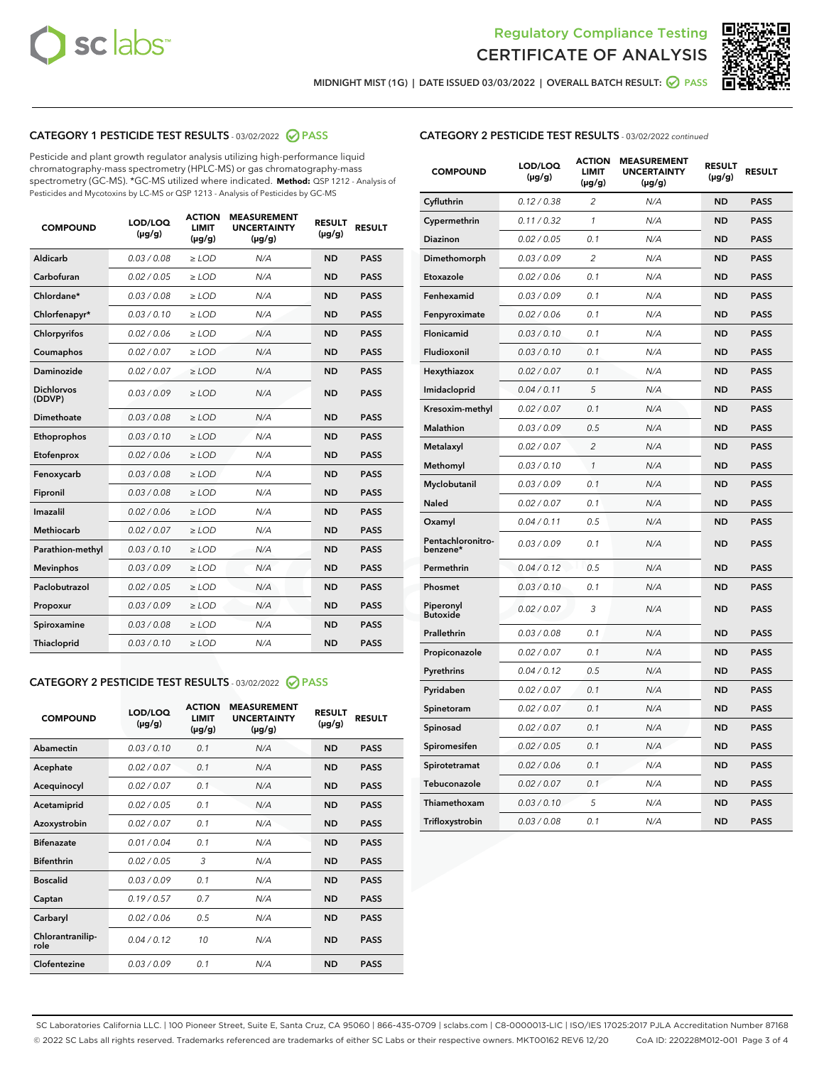



MIDNIGHT MIST (1G) | DATE ISSUED 03/03/2022 | OVERALL BATCH RESULT:  $\bigcirc$  PASS

#### CATEGORY 1 PESTICIDE TEST RESULTS - 03/02/2022 2 PASS

Pesticide and plant growth regulator analysis utilizing high-performance liquid chromatography-mass spectrometry (HPLC-MS) or gas chromatography-mass spectrometry (GC-MS). \*GC-MS utilized where indicated. **Method:** QSP 1212 - Analysis of Pesticides and Mycotoxins by LC-MS or QSP 1213 - Analysis of Pesticides by GC-MS

| <b>COMPOUND</b>             | LOD/LOQ<br>$(\mu g/g)$ | <b>ACTION</b><br>LIMIT<br>$(\mu g/g)$ | <b>MEASUREMENT</b><br><b>UNCERTAINTY</b><br>$(\mu g/g)$ | <b>RESULT</b><br>$(\mu g/g)$ | <b>RESULT</b> |
|-----------------------------|------------------------|---------------------------------------|---------------------------------------------------------|------------------------------|---------------|
| Aldicarb                    | 0.03 / 0.08            | $\ge$ LOD                             | N/A                                                     | <b>ND</b>                    | <b>PASS</b>   |
| Carbofuran                  | 0.02 / 0.05            | $\ge$ LOD                             | N/A                                                     | <b>ND</b>                    | <b>PASS</b>   |
| Chlordane*                  | 0.03 / 0.08            | $\ge$ LOD                             | N/A                                                     | <b>ND</b>                    | <b>PASS</b>   |
| Chlorfenapyr*               | 0.03 / 0.10            | $\ge$ LOD                             | N/A                                                     | <b>ND</b>                    | <b>PASS</b>   |
| Chlorpyrifos                | 0.02 / 0.06            | $\ge$ LOD                             | N/A                                                     | <b>ND</b>                    | <b>PASS</b>   |
| Coumaphos                   | 0.02 / 0.07            | $\ge$ LOD                             | N/A                                                     | <b>ND</b>                    | <b>PASS</b>   |
| Daminozide                  | 0.02 / 0.07            | $\geq$ LOD                            | N/A                                                     | <b>ND</b>                    | <b>PASS</b>   |
| <b>Dichlorvos</b><br>(DDVP) | 0.03/0.09              | $\ge$ LOD                             | N/A                                                     | <b>ND</b>                    | <b>PASS</b>   |
| Dimethoate                  | 0.03/0.08              | $>$ LOD                               | N/A                                                     | <b>ND</b>                    | <b>PASS</b>   |
| Ethoprophos                 | 0.03/0.10              | $\ge$ LOD                             | N/A                                                     | <b>ND</b>                    | <b>PASS</b>   |
| Etofenprox                  | 0.02 / 0.06            | $\ge$ LOD                             | N/A                                                     | <b>ND</b>                    | <b>PASS</b>   |
| Fenoxycarb                  | 0.03/0.08              | $>$ LOD                               | N/A                                                     | <b>ND</b>                    | <b>PASS</b>   |
| Fipronil                    | 0.03 / 0.08            | $\ge$ LOD                             | N/A                                                     | <b>ND</b>                    | <b>PASS</b>   |
| Imazalil                    | 0.02 / 0.06            | $\ge$ LOD                             | N/A                                                     | <b>ND</b>                    | <b>PASS</b>   |
| <b>Methiocarb</b>           | 0.02 / 0.07            | $\ge$ LOD                             | N/A                                                     | <b>ND</b>                    | <b>PASS</b>   |
| Parathion-methyl            | 0.03/0.10              | $\ge$ LOD                             | N/A                                                     | <b>ND</b>                    | <b>PASS</b>   |
| <b>Mevinphos</b>            | 0.03/0.09              | $\ge$ LOD                             | N/A                                                     | <b>ND</b>                    | <b>PASS</b>   |
| Paclobutrazol               | 0.02 / 0.05            | $\ge$ LOD                             | N/A                                                     | <b>ND</b>                    | <b>PASS</b>   |
| Propoxur                    | 0.03/0.09              | $\ge$ LOD                             | N/A                                                     | <b>ND</b>                    | <b>PASS</b>   |
| Spiroxamine                 | 0.03 / 0.08            | $\ge$ LOD                             | N/A                                                     | <b>ND</b>                    | <b>PASS</b>   |
| Thiacloprid                 | 0.03/0.10              | $>$ LOD                               | N/A                                                     | <b>ND</b>                    | <b>PASS</b>   |

#### CATEGORY 2 PESTICIDE TEST RESULTS - 03/02/2022 @ PASS

| <b>COMPOUND</b>          | LOD/LOO<br>$(\mu g/g)$ | <b>ACTION</b><br><b>LIMIT</b><br>(µg/g) | <b>MEASUREMENT</b><br><b>UNCERTAINTY</b><br>$(\mu g/g)$ | <b>RESULT</b><br>$(\mu g/g)$ | <b>RESULT</b> |  |
|--------------------------|------------------------|-----------------------------------------|---------------------------------------------------------|------------------------------|---------------|--|
| Abamectin                | 0.03/0.10              | 0.1                                     | N/A                                                     | <b>ND</b>                    | <b>PASS</b>   |  |
| Acephate                 | 0.02/0.07              | 0.1                                     | N/A                                                     | <b>ND</b>                    | <b>PASS</b>   |  |
| Acequinocyl              | 0.02/0.07              | 0.1                                     | N/A                                                     | <b>ND</b>                    | <b>PASS</b>   |  |
| Acetamiprid              | 0.02/0.05              | 0.1                                     | N/A                                                     | <b>ND</b>                    | <b>PASS</b>   |  |
| Azoxystrobin             | 0.02/0.07              | 0.1                                     | N/A                                                     | <b>ND</b>                    | <b>PASS</b>   |  |
| <b>Bifenazate</b>        | 0.01/0.04              | 0.1                                     | N/A                                                     | <b>ND</b>                    | <b>PASS</b>   |  |
| <b>Bifenthrin</b>        | 0.02/0.05              | 3                                       | N/A                                                     | <b>ND</b>                    | <b>PASS</b>   |  |
| <b>Boscalid</b>          | 0.03/0.09              | 0.1                                     | N/A                                                     | <b>ND</b>                    | <b>PASS</b>   |  |
| Captan                   | 0.19/0.57              | 0.7                                     | N/A                                                     | <b>ND</b>                    | <b>PASS</b>   |  |
| Carbaryl                 | 0.02/0.06              | 0.5                                     | N/A                                                     | <b>ND</b>                    | <b>PASS</b>   |  |
| Chlorantranilip-<br>role | 0.04/0.12              | 10                                      | N/A                                                     | <b>ND</b>                    | <b>PASS</b>   |  |
| Clofentezine             | 0.03/0.09              | 0.1                                     | N/A                                                     | <b>ND</b>                    | <b>PASS</b>   |  |

| <b>CATEGORY 2 PESTICIDE TEST RESULTS</b> - 03/02/2022 continued |
|-----------------------------------------------------------------|
|-----------------------------------------------------------------|

| <b>COMPOUND</b>               | LOD/LOQ<br>(µg/g) | <b>ACTION</b><br><b>LIMIT</b><br>$(\mu g/g)$ | <b>MEASUREMENT</b><br><b>UNCERTAINTY</b><br>(µg/g) | <b>RESULT</b><br>(µg/g) | <b>RESULT</b> |
|-------------------------------|-------------------|----------------------------------------------|----------------------------------------------------|-------------------------|---------------|
| Cyfluthrin                    | 0.12 / 0.38       | $\overline{c}$                               | N/A                                                | <b>ND</b>               | <b>PASS</b>   |
| Cypermethrin                  | 0.11 / 0.32       | 1                                            | N/A                                                | <b>ND</b>               | <b>PASS</b>   |
| Diazinon                      | 0.02 / 0.05       | 0.1                                          | N/A                                                | <b>ND</b>               | <b>PASS</b>   |
| Dimethomorph                  | 0.03 / 0.09       | $\overline{2}$                               | N/A                                                | <b>ND</b>               | <b>PASS</b>   |
| Etoxazole                     | 0.02 / 0.06       | 0.1                                          | N/A                                                | <b>ND</b>               | <b>PASS</b>   |
| Fenhexamid                    | 0.03 / 0.09       | 0.1                                          | N/A                                                | <b>ND</b>               | <b>PASS</b>   |
| Fenpyroximate                 | 0.02 / 0.06       | 0.1                                          | N/A                                                | <b>ND</b>               | <b>PASS</b>   |
| Flonicamid                    | 0.03 / 0.10       | 0.1                                          | N/A                                                | <b>ND</b>               | <b>PASS</b>   |
| Fludioxonil                   | 0.03 / 0.10       | 0.1                                          | N/A                                                | <b>ND</b>               | <b>PASS</b>   |
| Hexythiazox                   | 0.02 / 0.07       | 0.1                                          | N/A                                                | <b>ND</b>               | <b>PASS</b>   |
| Imidacloprid                  | 0.04 / 0.11       | 5                                            | N/A                                                | <b>ND</b>               | <b>PASS</b>   |
| Kresoxim-methyl               | 0.02 / 0.07       | 0.1                                          | N/A                                                | <b>ND</b>               | <b>PASS</b>   |
| <b>Malathion</b>              | 0.03 / 0.09       | 0.5                                          | N/A                                                | <b>ND</b>               | <b>PASS</b>   |
| Metalaxyl                     | 0.02 / 0.07       | $\overline{c}$                               | N/A                                                | <b>ND</b>               | <b>PASS</b>   |
| Methomyl                      | 0.03 / 0.10       | $\mathcal{I}$                                | N/A                                                | <b>ND</b>               | <b>PASS</b>   |
| Myclobutanil                  | 0.03 / 0.09       | 0.1                                          | N/A                                                | <b>ND</b>               | <b>PASS</b>   |
| Naled                         | 0.02 / 0.07       | 0.1                                          | N/A                                                | <b>ND</b>               | <b>PASS</b>   |
| Oxamyl                        | 0.04 / 0.11       | 0.5                                          | N/A                                                | <b>ND</b>               | <b>PASS</b>   |
| Pentachloronitro-<br>benzene* | 0.03 / 0.09       | 0.1                                          | N/A                                                | <b>ND</b>               | <b>PASS</b>   |
| Permethrin                    | 0.04 / 0.12       | 0.5                                          | N/A                                                | <b>ND</b>               | <b>PASS</b>   |
| Phosmet                       | 0.03 / 0.10       | 0.1                                          | N/A                                                | <b>ND</b>               | <b>PASS</b>   |
| Piperonyl<br><b>Butoxide</b>  | 0.02 / 0.07       | 3                                            | N/A                                                | <b>ND</b>               | <b>PASS</b>   |
| Prallethrin                   | 0.03 / 0.08       | 0.1                                          | N/A                                                | <b>ND</b>               | <b>PASS</b>   |
| Propiconazole                 | 0.02 / 0.07       | 0.1                                          | N/A                                                | <b>ND</b>               | <b>PASS</b>   |
| Pyrethrins                    | 0.04 / 0.12       | 0.5                                          | N/A                                                | <b>ND</b>               | <b>PASS</b>   |
| Pyridaben                     | 0.02 / 0.07       | 0.1                                          | N/A                                                | <b>ND</b>               | <b>PASS</b>   |
| Spinetoram                    | 0.02 / 0.07       | 0.1                                          | N/A                                                | <b>ND</b>               | PASS          |
| Spinosad                      | 0.02 / 0.07       | 0.1                                          | N/A                                                | <b>ND</b>               | <b>PASS</b>   |
| Spiromesifen                  | 0.02 / 0.05       | 0.1                                          | N/A                                                | ND                      | <b>PASS</b>   |
| Spirotetramat                 | 0.02 / 0.06       | 0.1                                          | N/A                                                | <b>ND</b>               | PASS          |
| Tebuconazole                  | 0.02 / 0.07       | 0.1                                          | N/A                                                | <b>ND</b>               | <b>PASS</b>   |
| Thiamethoxam                  | 0.03 / 0.10       | 5                                            | N/A                                                | <b>ND</b>               | <b>PASS</b>   |
| Trifloxystrobin               | 0.03 / 0.08       | 0.1                                          | N/A                                                | ND                      | <b>PASS</b>   |

SC Laboratories California LLC. | 100 Pioneer Street, Suite E, Santa Cruz, CA 95060 | 866-435-0709 | sclabs.com | C8-0000013-LIC | ISO/IES 17025:2017 PJLA Accreditation Number 87168 © 2022 SC Labs all rights reserved. Trademarks referenced are trademarks of either SC Labs or their respective owners. MKT00162 REV6 12/20 CoA ID: 220228M012-001 Page 3 of 4